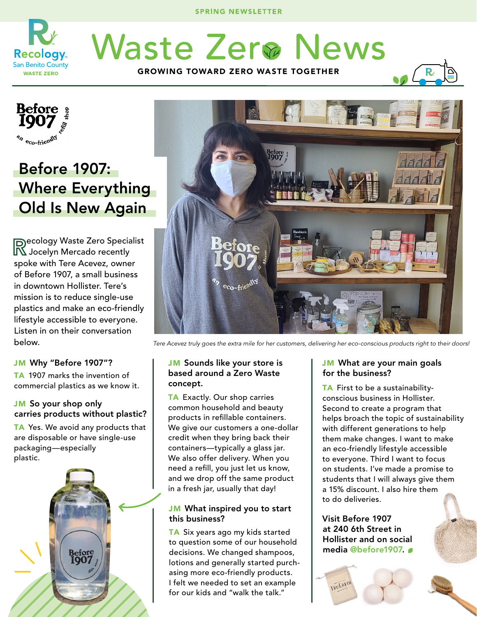SPRING NEWSLETTER



**Waste Zerø News** GROWING TOWARD ZERO WASTE TOGETHER



# Before 1907: Where Everything Old Is New Again

Recology Waste Zero Specialist Jocelyn Mercado recently spoke with Tere Acevez, owner of Before 1907, a small business in downtown Hollister. Tere's mission is to reduce single-use plastics and make an eco-friendly lifestyle accessible to everyone. Listen in on their conversation below.

# JM Why "Before 1907"?

TA 1907 marks the invention of commercial plastics as we know it.

# JM So your shop only carries products without plastic?

TA Yes. We avoid any products that are disposable or have single-use packaging—especially plastic.





*Tere Acevez truly goes the extra mile for her customers, delivering her eco-conscious products right to their doors!*

#### JM Sounds like your store is based around a Zero Waste concept.

TA Exactly. Our shop carries common household and beauty products in refillable containers. We give our customers a one-dollar credit when they bring back their containers—typically a glass jar. We also offer delivery. When you need a refill, you just let us know, and we drop off the same product in a fresh jar, usually that day!

# JM What inspired you to start this business?

TA Six years ago my kids started to question some of our household decisions. We changed shampoos, lotions and generally started purchasing more eco-friendly products. I felt we needed to set an example for our kids and "walk the talk."

#### JM What are your main goals for the business?

TA First to be a sustainabilityconscious business in Hollister. Second to create a program that helps broach the topic of sustainability with different generations to help them make changes. I want to make an eco-friendly lifestyle accessible to everyone. Third I want to focus on students. I've made a promise to students that I will always give them a 15% discount. I also hire them to do deliveries.

Visit Before 1907 at 240 6th Street in Hollister and on social media @before1907.